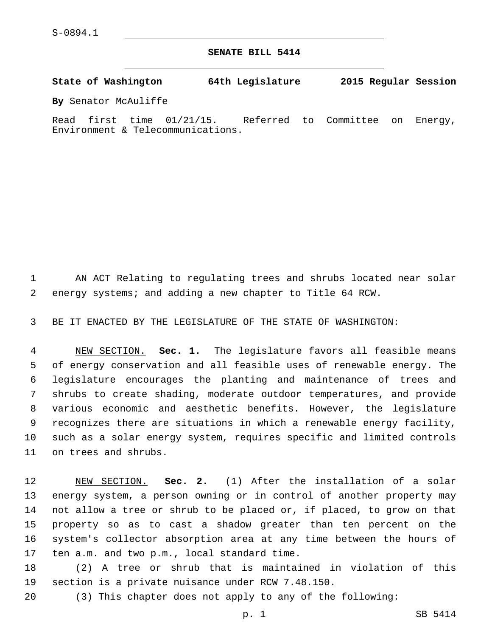**SENATE BILL 5414**

**State of Washington 64th Legislature 2015 Regular Session**

**By** Senator McAuliffe

Read first time 01/21/15. Referred to Committee on Energy, Environment & Telecommunications.

 AN ACT Relating to regulating trees and shrubs located near solar energy systems; and adding a new chapter to Title 64 RCW.

BE IT ENACTED BY THE LEGISLATURE OF THE STATE OF WASHINGTON:

 NEW SECTION. **Sec. 1.** The legislature favors all feasible means of energy conservation and all feasible uses of renewable energy. The legislature encourages the planting and maintenance of trees and shrubs to create shading, moderate outdoor temperatures, and provide various economic and aesthetic benefits. However, the legislature recognizes there are situations in which a renewable energy facility, such as a solar energy system, requires specific and limited controls on trees and shrubs.

 NEW SECTION. **Sec. 2.** (1) After the installation of a solar energy system, a person owning or in control of another property may not allow a tree or shrub to be placed or, if placed, to grow on that property so as to cast a shadow greater than ten percent on the system's collector absorption area at any time between the hours of ten a.m. and two p.m., local standard time.

 (2) A tree or shrub that is maintained in violation of this 19 section is a private nuisance under RCW 7.48.150.

(3) This chapter does not apply to any of the following: